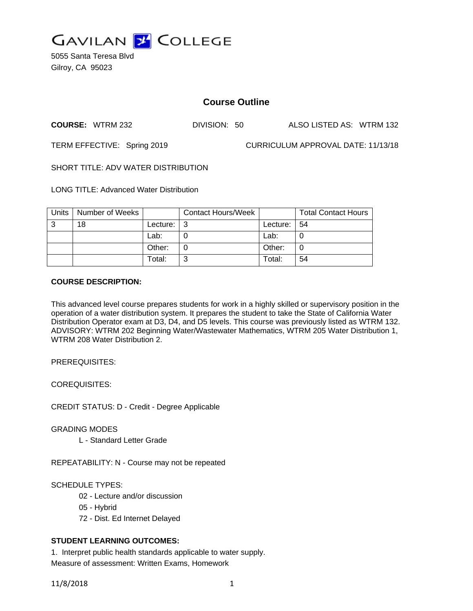

5055 Santa Teresa Blvd Gilroy, CA 95023

# **Course Outline**

**COURSE:** WTRM 232 DIVISION: 50 ALSO LISTED AS: WTRM 132

TERM EFFECTIVE: Spring 2019 CURRICULUM APPROVAL DATE: 11/13/18

SHORT TITLE: ADV WATER DISTRIBUTION

LONG TITLE: Advanced Water Distribution

| Units | Number of Weeks |            | <b>Contact Hours/Week</b> |             | <b>Total Contact Hours</b> |
|-------|-----------------|------------|---------------------------|-------------|----------------------------|
| 3     | 18              | Lecture: I | - 3                       | Lecture: 54 |                            |
|       |                 | Lab:       |                           | Lab:        |                            |
|       |                 | Other:     |                           | Other:      | 0                          |
|       |                 | Total:     | ົ                         | Total:      | 54                         |

## **COURSE DESCRIPTION:**

This advanced level course prepares students for work in a highly skilled or supervisory position in the operation of a water distribution system. It prepares the student to take the State of California Water Distribution Operator exam at D3, D4, and D5 levels. This course was previously listed as WTRM 132. ADVISORY: WTRM 202 Beginning Water/Wastewater Mathematics, WTRM 205 Water Distribution 1, WTRM 208 Water Distribution 2.

PREREQUISITES:

COREQUISITES:

CREDIT STATUS: D - Credit - Degree Applicable

GRADING MODES

L - Standard Letter Grade

REPEATABILITY: N - Course may not be repeated

SCHEDULE TYPES:

- 02 Lecture and/or discussion
- 05 Hybrid
- 72 Dist. Ed Internet Delayed

# **STUDENT LEARNING OUTCOMES:**

1. Interpret public health standards applicable to water supply. Measure of assessment: Written Exams, Homework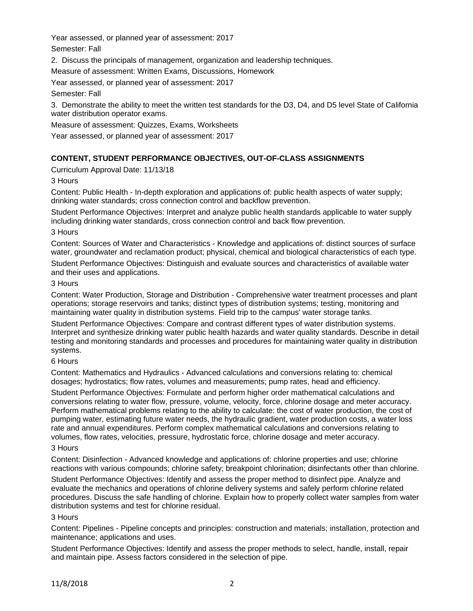Year assessed, or planned year of assessment: 2017 Semester: Fall

2. Discuss the principals of management, organization and leadership techniques.

Measure of assessment: Written Exams, Discussions, Homework

Year assessed, or planned year of assessment: 2017

## Semester: Fall

3. Demonstrate the ability to meet the written test standards for the D3, D4, and D5 level State of California water distribution operator exams.

Measure of assessment: Quizzes, Exams, Worksheets

Year assessed, or planned year of assessment: 2017

# **CONTENT, STUDENT PERFORMANCE OBJECTIVES, OUT-OF-CLASS ASSIGNMENTS**

Curriculum Approval Date: 11/13/18

## 3 Hours

Content: Public Health - In-depth exploration and applications of: public health aspects of water supply; drinking water standards; cross connection control and backflow prevention.

Student Performance Objectives: Interpret and analyze public health standards applicable to water supply including drinking water standards, cross connection control and back flow prevention.

3 Hours

Content: Sources of Water and Characteristics - Knowledge and applications of: distinct sources of surface water, groundwater and reclamation product; physical, chemical and biological characteristics of each type. Student Performance Objectives: Distinguish and evaluate sources and characteristics of available water and their uses and applications.

#### 3 Hours

Content: Water Production, Storage and Distribution - Comprehensive water treatment processes and plant operations; storage reservoirs and tanks; distinct types of distribution systems; testing, monitoring and maintaining water quality in distribution systems. Field trip to the campus' water storage tanks.

Student Performance Objectives: Compare and contrast different types of water distribution systems. Interpret and synthesize drinking water public health hazards and water quality standards. Describe in detail testing and monitoring standards and processes and procedures for maintaining water quality in distribution systems.

#### 6 Hours

Content: Mathematics and Hydraulics - Advanced calculations and conversions relating to: chemical dosages; hydrostatics; flow rates, volumes and measurements; pump rates, head and efficiency.

Student Performance Objectives: Formulate and perform higher order mathematical calculations and conversions relating to water flow, pressure, volume, velocity, force, chlorine dosage and meter accuracy. Perform mathematical problems relating to the ability to calculate: the cost of water production, the cost of pumping water, estimating future water needs, the hydraulic gradient, water production costs, a water loss rate and annual expenditures. Perform complex mathematical calculations and conversions relating to volumes, flow rates, velocities, pressure, hydrostatic force, chlorine dosage and meter accuracy.

## 3 Hours

Content: Disinfection - Advanced knowledge and applications of: chlorine properties and use; chlorine reactions with various compounds; chlorine safety; breakpoint chlorination; disinfectants other than chlorine.

Student Performance Objectives: Identify and assess the proper method to disinfect pipe. Analyze and evaluate the mechanics and operations of chlorine delivery systems and safely perform chlorine related procedures. Discuss the safe handling of chlorine. Explain how to properly collect water samples from water distribution systems and test for chlorine residual.

## 3 Hours

Content: Pipelines - Pipeline concepts and principles: construction and materials; installation, protection and maintenance; applications and uses.

Student Performance Objectives: Identify and assess the proper methods to select, handle, install, repair and maintain pipe. Assess factors considered in the selection of pipe.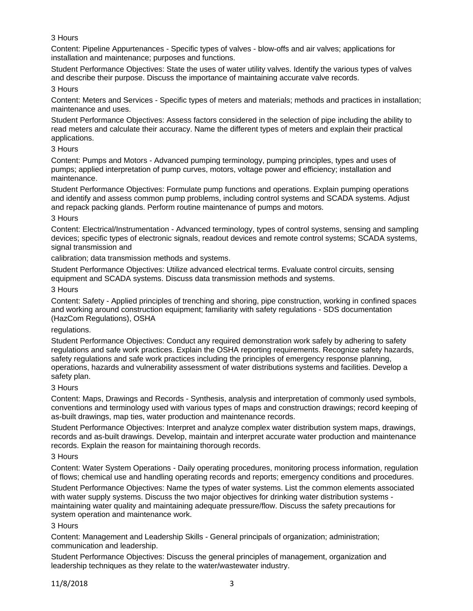## 3 Hours

Content: Pipeline Appurtenances - Specific types of valves - blow-offs and air valves; applications for installation and maintenance; purposes and functions.

Student Performance Objectives: State the uses of water utility valves. Identify the various types of valves and describe their purpose. Discuss the importance of maintaining accurate valve records.

### 3 Hours

Content: Meters and Services - Specific types of meters and materials; methods and practices in installation; maintenance and uses.

Student Performance Objectives: Assess factors considered in the selection of pipe including the ability to read meters and calculate their accuracy. Name the different types of meters and explain their practical applications.

#### 3 Hours

Content: Pumps and Motors - Advanced pumping terminology, pumping principles, types and uses of pumps; applied interpretation of pump curves, motors, voltage power and efficiency; installation and maintenance.

Student Performance Objectives: Formulate pump functions and operations. Explain pumping operations and identify and assess common pump problems, including control systems and SCADA systems. Adjust and repack packing glands. Perform routine maintenance of pumps and motors.

#### 3 Hours

Content: Electrical/Instrumentation - Advanced terminology, types of control systems, sensing and sampling devices; specific types of electronic signals, readout devices and remote control systems; SCADA systems, signal transmission and

calibration; data transmission methods and systems.

Student Performance Objectives: Utilize advanced electrical terms. Evaluate control circuits, sensing equipment and SCADA systems. Discuss data transmission methods and systems.

#### 3 Hours

Content: Safety - Applied principles of trenching and shoring, pipe construction, working in confined spaces and working around construction equipment; familiarity with safety regulations - SDS documentation (HazCom Regulations), OSHA

#### regulations.

Student Performance Objectives: Conduct any required demonstration work safely by adhering to safety regulations and safe work practices. Explain the OSHA reporting requirements. Recognize safety hazards, safety regulations and safe work practices including the principles of emergency response planning, operations, hazards and vulnerability assessment of water distributions systems and facilities. Develop a safety plan.

#### 3 Hours

Content: Maps, Drawings and Records - Synthesis, analysis and interpretation of commonly used symbols, conventions and terminology used with various types of maps and construction drawings; record keeping of as-built drawings, map ties, water production and maintenance records.

Student Performance Objectives: Interpret and analyze complex water distribution system maps, drawings, records and as-built drawings. Develop, maintain and interpret accurate water production and maintenance records. Explain the reason for maintaining thorough records.

## 3 Hours

Content: Water System Operations - Daily operating procedures, monitoring process information, regulation of flows; chemical use and handling operating records and reports; emergency conditions and procedures.

Student Performance Objectives: Name the types of water systems. List the common elements associated with water supply systems. Discuss the two major objectives for drinking water distribution systems maintaining water quality and maintaining adequate pressure/flow. Discuss the safety precautions for system operation and maintenance work.

## 3 Hours

Content: Management and Leadership Skills - General principals of organization; administration; communication and leadership.

Student Performance Objectives: Discuss the general principles of management, organization and leadership techniques as they relate to the water/wastewater industry.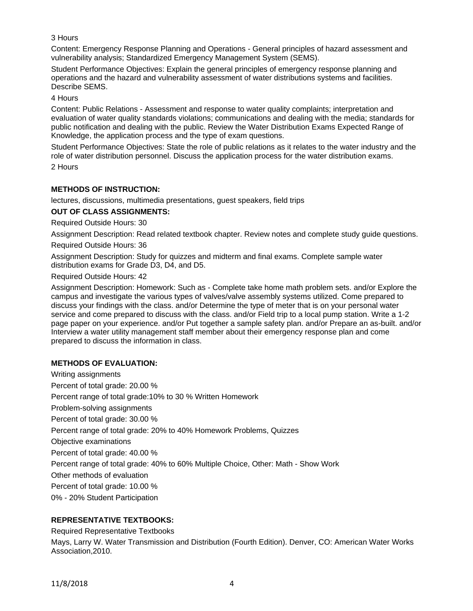## 3 Hours

Content: Emergency Response Planning and Operations - General principles of hazard assessment and vulnerability analysis; Standardized Emergency Management System (SEMS).

Student Performance Objectives: Explain the general principles of emergency response planning and operations and the hazard and vulnerability assessment of water distributions systems and facilities. Describe SEMS.

4 Hours

Content: Public Relations - Assessment and response to water quality complaints; interpretation and evaluation of water quality standards violations; communications and dealing with the media; standards for public notification and dealing with the public. Review the Water Distribution Exams Expected Range of Knowledge, the application process and the type of exam questions.

Student Performance Objectives: State the role of public relations as it relates to the water industry and the role of water distribution personnel. Discuss the application process for the water distribution exams. 2 Hours

## **METHODS OF INSTRUCTION:**

lectures, discussions, multimedia presentations, guest speakers, field trips

#### **OUT OF CLASS ASSIGNMENTS:**

Required Outside Hours: 30

Assignment Description: Read related textbook chapter. Review notes and complete study guide questions.

Required Outside Hours: 36

Assignment Description: Study for quizzes and midterm and final exams. Complete sample water distribution exams for Grade D3, D4, and D5.

Required Outside Hours: 42

Assignment Description: Homework: Such as - Complete take home math problem sets. and/or Explore the campus and investigate the various types of valves/valve assembly systems utilized. Come prepared to discuss your findings with the class. and/or Determine the type of meter that is on your personal water service and come prepared to discuss with the class. and/or Field trip to a local pump station. Write a 1-2 page paper on your experience. and/or Put together a sample safety plan. and/or Prepare an as-built. and/or Interview a water utility management staff member about their emergency response plan and come prepared to discuss the information in class.

## **METHODS OF EVALUATION:**

Writing assignments Percent of total grade: 20.00 % Percent range of total grade:10% to 30 % Written Homework Problem-solving assignments Percent of total grade: 30.00 % Percent range of total grade: 20% to 40% Homework Problems, Quizzes Objective examinations Percent of total grade: 40.00 % Percent range of total grade: 40% to 60% Multiple Choice, Other: Math - Show Work Other methods of evaluation Percent of total grade: 10.00 % 0% - 20% Student Participation

## **REPRESENTATIVE TEXTBOOKS:**

Required Representative Textbooks

Mays, Larry W. Water Transmission and Distribution (Fourth Edition). Denver, CO: American Water Works Association,2010.